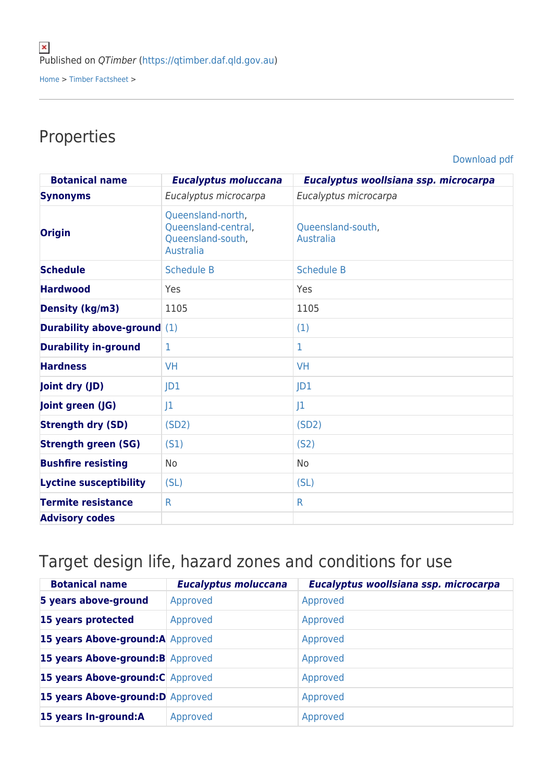## Properties

[Download pdf](https://qtimber.daf.qld.gov.au/printpdf/timber-factsheet/box, grey)

| <b>Botanical name</b>              | <b>Eucalyptus moluccana</b>                                                       | Eucalyptus woollsiana ssp. microcarpa |
|------------------------------------|-----------------------------------------------------------------------------------|---------------------------------------|
| <b>Synonyms</b>                    | Eucalyptus microcarpa                                                             | Eucalyptus microcarpa                 |
| <b>Origin</b>                      | Queensland-north,<br>Queensland-central,<br>Queensland-south,<br><b>Australia</b> | Queensland-south,<br>Australia        |
| <b>Schedule</b>                    | <b>Schedule B</b>                                                                 | <b>Schedule B</b>                     |
| <b>Hardwood</b>                    | Yes                                                                               | Yes                                   |
| Density (kg/m3)                    | 1105                                                                              | 1105                                  |
| <b>Durability above-ground</b> (1) |                                                                                   | (1)                                   |
| <b>Durability in-ground</b>        | $\mathbf{1}$                                                                      | 1                                     |
| <b>Hardness</b>                    | <b>VH</b>                                                                         | <b>VH</b>                             |
| Joint dry (JD)                     | JD1                                                                               | JD1                                   |
| Joint green (JG)                   | 1                                                                                 | 1                                     |
| <b>Strength dry (SD)</b>           | (SD2)                                                                             | (SD2)                                 |
| <b>Strength green (SG)</b>         | (S1)                                                                              | (S <sub>2</sub> )                     |
| <b>Bushfire resisting</b>          | No                                                                                | No.                                   |
| <b>Lyctine susceptibility</b>      | (SL)                                                                              | (SL)                                  |
| <b>Termite resistance</b>          | $\mathsf{R}$                                                                      | $\mathsf{R}$                          |
| <b>Advisory codes</b>              |                                                                                   |                                       |

## Target design life, hazard zones and conditions for use

| <b>Botanical name</b>             | <b>Eucalyptus moluccana</b> | Eucalyptus woollsiana ssp. microcarpa |
|-----------------------------------|-----------------------------|---------------------------------------|
| 5 years above-ground              | Approved                    | Approved                              |
| 15 years protected                | Approved                    | Approved                              |
| 15 years Above-ground:A Approved  |                             | Approved                              |
| 15 years Above-ground: B Approved |                             | Approved                              |
| 15 years Above-ground: C Approved |                             | Approved                              |
| 15 years Above-ground: D Approved |                             | Approved                              |
| 15 years In-ground:A              | Approved                    | Approved                              |